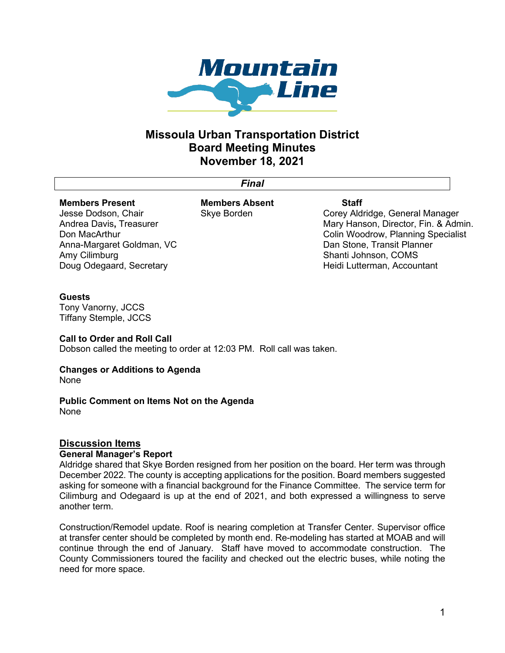

## **Missoula Urban Transportation District Board Meeting Minutes November 18, 2021**

*Final*

# **Members Present**

Jesse Dodson, Chair Andrea Davis**,** Treasurer Don MacArthur Anna-Margaret Goldman, VC Amy Cilimburg Doug Odegaard, Secretary

**Members Absent** Skye Borden

## **Staff**

Corey Aldridge, General Manager Mary Hanson, Director, Fin. & Admin. Colin Woodrow, Planning Specialist Dan Stone, Transit Planner Shanti Johnson, COMS Heidi Lutterman, Accountant

## **Guests**

Tony Vanorny, JCCS Tiffany Stemple, JCCS

## **Call to Order and Roll Call**

Dobson called the meeting to order at 12:03 PM. Roll call was taken.

## **Changes or Additions to Agenda**

None

## **Public Comment on Items Not on the Agenda** None

## **Discussion Items**

## **General Manager's Report**

Aldridge shared that Skye Borden resigned from her position on the board. Her term was through December 2022. The county is accepting applications for the position. Board members suggested asking for someone with a financial background for the Finance Committee. The service term for Cilimburg and Odegaard is up at the end of 2021, and both expressed a willingness to serve another term.

Construction/Remodel update. Roof is nearing completion at Transfer Center. Supervisor office at transfer center should be completed by month end. Re-modeling has started at MOAB and will continue through the end of January. Staff have moved to accommodate construction. The County Commissioners toured the facility and checked out the electric buses, while noting the need for more space.